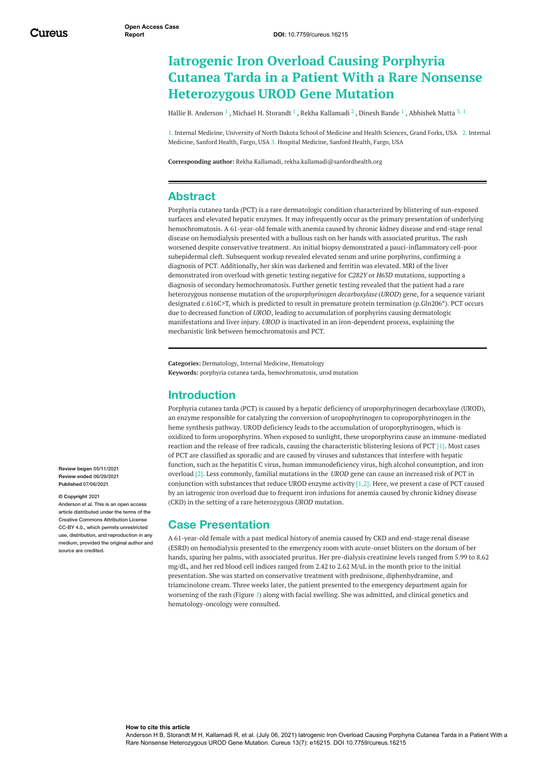# **Iatrogenic Iron Overload Causing Porphyria Cutanea Tarda in a Patient With a Rare Nonsense Heterozygous UROD Gene Mutation**

Hallie B. [Anderson](https://www.cureus.com/users/232290-hallie-b-anderson-)  $^1$  , Michael H. [Storandt](https://www.cureus.com/users/146171-michael-h-storandt)  $^1$  , Rekha [Kallamadi](https://www.cureus.com/users/209808-rekha-kallamadi)  $^2$  , [Dinesh](https://www.cureus.com/users/146203-dinesh-bande) Bande  $^1$  , [Abhishek](https://www.cureus.com/users/131281-abhishek-matta) Matta  $^{\rm 3,\,1}$ 

1. Internal Medicine, University of North Dakota School of Medicine and Health Sciences, Grand Forks, USA 2. Internal Medicine, Sanford Health, Fargo, USA 3. Hospital Medicine, Sanford Health, Fargo, USA

**Corresponding author:** Rekha Kallamadi, rekha.kallamadi@sanfordhealth.org

#### **Abstract**

Porphyria cutanea tarda (PCT) is a rare dermatologic condition characterized by blistering of sun-exposed surfaces and elevated hepatic enzymes. It may infrequently occur as the primary presentation of underlying hemochromatosis. A 61-year-old female with anemia caused by chronic kidney disease and end-stage renal disease on hemodialysis presented with a bullous rash on her hands with associated pruritus. The rash worsened despite conservative treatment. An initial biopsy demonstrated a pauci-inflammatory cell-poor subepidermal cleft. Subsequent workup revealed elevated serum and urine porphyrins, confirming a diagnosis of PCT. Additionally, her skin was darkened and ferritin was elevated. MRI of the liver demonstrated iron overload with genetic testing negative for *C282Y* or *H63D* mutations, supporting a diagnosis of secondary hemochromatosis. Further genetic testing revealed that the patient had a rare heterozygous nonsense mutation of the *uroporphyrinogen decarboxylase* (*UROD*) gene, for a sequence variant designated c.616C>T, which is predicted to result in premature protein termination (p.Gln206\*). PCT occurs due to decreased function of *UROD*, leading to accumulation of porphyrins causing dermatologic manifestations and liver injury. *UROD* is inactivated in an iron-dependent process, explaining the mechanistic link between hemochromatosis and PCT.

**Categories:** Dermatology, Internal Medicine, Hematology **Keywords:** porphyria cutanea tarda, hemochromatosis, urod mutation

#### **Introduction**

Porphyria cutanea tarda (PCT) is caused by a hepatic deficiency of uroporphyrinogen decarboxylase (UROD), an enzyme responsible for catalyzing the conversion of uropophyrinogen to coproporphyrinogen in the heme synthesis pathway. UROD deficiency leads to the accumulation of uroporphyrinogen, which is oxidized to form uroporphyrins. When exposed to sunlight, these uroporphyrins cause an immune-mediated reaction and the release of free radicals, causing the characteristic blistering lesions of PCT [1]. Most cases of PCT are classified as sporadic and are caused by viruses and substances that interfere with hepatic function, such as the hepatitis C virus, human immunodeficiency virus, high alcohol consumption, and iron overload [2]. Less commonly, familial mutations in the *UROD* gene can cause an increased risk of PCT in conjunction with substances that reduce UROD enzyme activity [1,2]. Here, we present a case of PCT caused by an iatrogenic iron overload due to frequent iron infusions for anemia caused by chronic kidney disease (CKD) in the setting of a rare heterozygous *UROD* mutation.

### **Case Presentation**

A 61-year-old female with a past medical history of anemia caused by CKD and end-stage renal disease (ESRD) on hemodialysis presented to the emergency room with acute-onset blisters on the dorsum of her hands, sparing her palms, with associated pruritus. Her pre-dialysis creatinine levels ranged from 5.99 to 8.62 mg/dL, and her red blood cell indices ranged from 2.42 to 2.62 M/uL in the month prior to the initial presentation. She was started on conservative treatment with prednisone, diphenhydramine, and triamcinolone cream. Three weeks later, the patient presented to the emergency department again for worsening of the rash (Figure *[1](#page-1-0)*) along with facial swelling. She was admitted, and clinical genetics and hematology-oncology were consulted.

**Review began** 05/11/2021 **Review ended** 06/29/2021 **Published** 07/06/2021

#### **© Copyright** 2021

Anderson et al. This is an open access article distributed under the terms of the Creative Commons Attribution License CC-BY 4.0., which permits unrestricted use, distribution, and reproduction in any medium, provided the original author and source are credited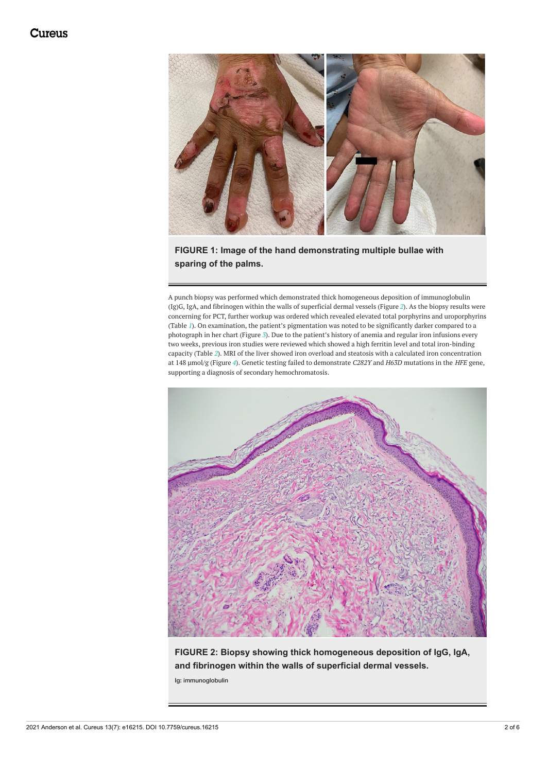<span id="page-1-0"></span>

**FIGURE 1: Image of the hand demonstrating multiple bullae with sparing of the palms.**

A punch biopsy was performed which demonstrated thick homogeneous deposition of immunoglobulin (Ig)G, IgA, and fibrinogen within the walls of superficial dermal vessels (Figure *[2](#page-1-1)*). As the biopsy results were concerning for PCT, further workup was ordered which revealed elevated total porphyrins and uroporphyrins (Table *[1](#page-2-0)*). On examination, the patient's pigmentation was noted to be significantly darker compared to a photograph in her chart (Figure *[3](#page-2-1)*). Due to the patient's history of anemia and regular iron infusions every two weeks, previous iron studies were reviewed which showed a high ferritin level and total iron-binding capacity (Table *[2](#page-2-2)*). MRI of the liver showed iron overload and steatosis with a calculated iron concentration at 148 µmol/g (Figure *[4](#page-3-0)*). Genetic testing failed to demonstrate *C282Y* and *H63D* mutations in the *HFE* gene, supporting a diagnosis of secondary hemochromatosis.

<span id="page-1-1"></span>

**FIGURE 2: Biopsy showing thick homogeneous deposition of IgG, IgA, and fibrinogen within the walls of superficial dermal vessels.**

Ig: immunoglobulin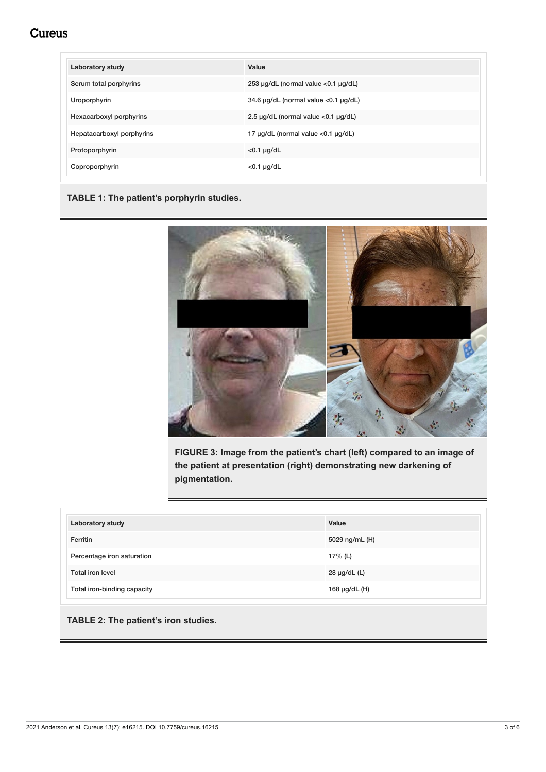## **Cureus**

<span id="page-2-0"></span>

| <b>Laboratory study</b>   | Value                                          |
|---------------------------|------------------------------------------------|
| Serum total porphyrins    | 253 µg/dL (normal value <0.1 µg/dL)            |
| Uroporphyrin              | 34.6 µg/dL (normal value <0.1 µg/dL)           |
| Hexacarboxyl porphyrins   | 2.5 $\mu$ g/dL (normal value < 0.1 $\mu$ g/dL) |
| Hepatacarboxyl porphyrins | 17 µg/dL (normal value <0.1 µg/dL)             |
| Protoporphyrin            | $<$ 0.1 $\mu$ g/dL                             |
| Coproporphyrin            | $<$ 0.1 $\mu$ g/dL                             |

#### **TABLE 1: The patient's porphyrin studies.**

<span id="page-2-1"></span>

**FIGURE 3: Image from the patient's chart (left) compared to an image of the patient at presentation (right) demonstrating new darkening of pigmentation.**

<span id="page-2-2"></span>

| <b>Laboratory study</b>     | Value             |
|-----------------------------|-------------------|
| Ferritin                    | 5029 ng/mL (H)    |
| Percentage iron saturation  | 17% (L)           |
| <b>Total iron level</b>     | $28 \mu g/dL$ (L) |
| Total iron-binding capacity | 168 µg/dL (H)     |

#### **TABLE 2: The patient's iron studies.**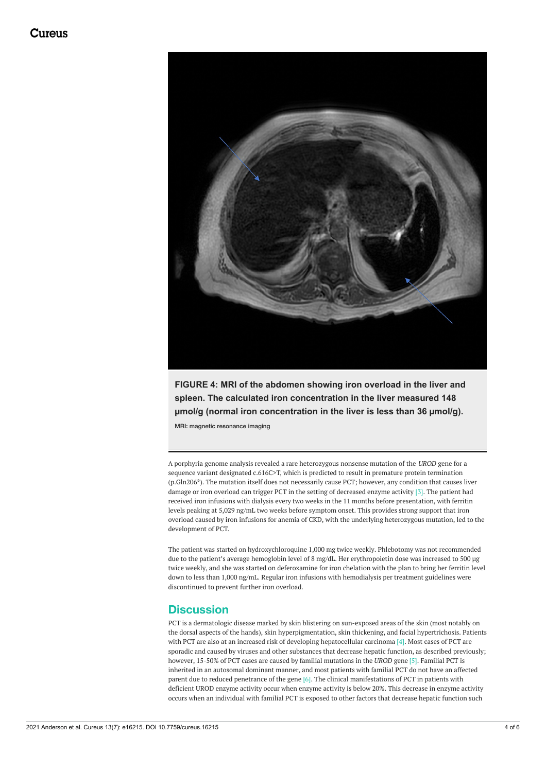<span id="page-3-0"></span>

**FIGURE 4: MRI of the abdomen showing iron overload in the liver and spleen. The calculated iron concentration in the liver measured 148 µmol/g (normal iron concentration in the liver is less than 36 µmol/g).**

MRI: magnetic resonance imaging

A porphyria genome analysis revealed a rare heterozygous nonsense mutation of the *UROD* gene for a sequence variant designated c.616C>T, which is predicted to result in premature protein termination (p.Gln206\*). The mutation itself does not necessarily cause PCT; however, any condition that causes liver damage or iron overload can trigger PCT in the setting of decreased enzyme activity [3]. The patient had received iron infusions with dialysis every two weeks in the 11 months before presentation, with ferritin levels peaking at 5,029 ng/mL two weeks before symptom onset. This provides strong support that iron overload caused by iron infusions for anemia of CKD, with the underlying heterozygous mutation, led to the development of PCT.

The patient was started on hydroxychloroquine 1,000 mg twice weekly. Phlebotomy was not recommended due to the patient's average hemoglobin level of 8 mg/dL. Her erythropoietin dose was increased to 500 µg twice weekly, and she was started on deferoxamine for iron chelation with the plan to bring her ferritin level down to less than 1,000 ng/mL. Regular iron infusions with hemodialysis per treatment guidelines were discontinued to prevent further iron overload.

### **Discussion**

PCT is a dermatologic disease marked by skin blistering on sun-exposed areas of the skin (most notably on the dorsal aspects of the hands), skin hyperpigmentation, skin thickening, and facial hypertrichosis. Patients with PCT are also at an increased risk of developing hepatocellular carcinoma [4]. Most cases of PCT are sporadic and caused by viruses and other substances that decrease hepatic function, as described previously; however, 15-50% of PCT cases are caused by familial mutations in the *UROD* gene [5]. Familial PCT is inherited in an autosomal dominant manner, and most patients with familial PCT do not have an affected parent due to reduced penetrance of the gene  $[6]$ . The clinical manifestations of PCT in patients with deficient UROD enzyme activity occur when enzyme activity is below 20%. This decrease in enzyme activity occurs when an individual with familial PCT is exposed to other factors that decrease hepatic function such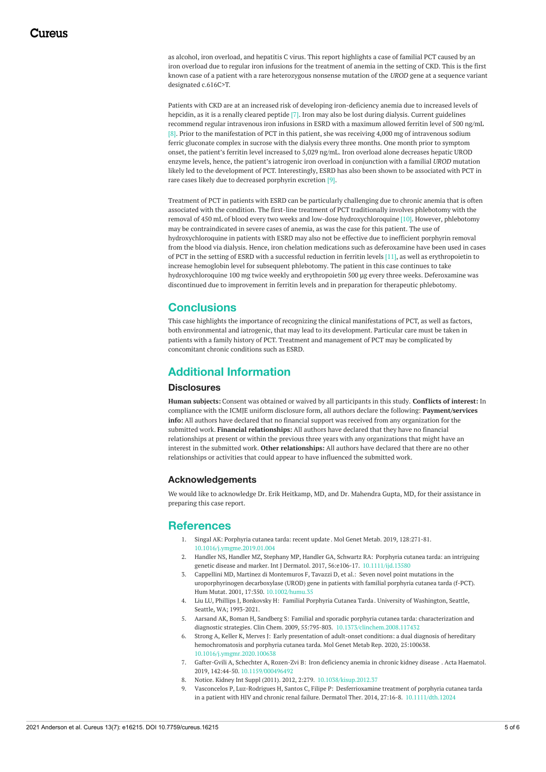as alcohol, iron overload, and hepatitis C virus. This report highlights a case of familial PCT caused by an iron overload due to regular iron infusions for the treatment of anemia in the setting of CKD. This is the first known case of a patient with a rare heterozygous nonsense mutation of the *UROD* gene at a sequence variant designated c.616C>T.

Patients with CKD are at an increased risk of developing iron-deficiency anemia due to increased levels of hepcidin, as it is a renally cleared peptide [7]. Iron may also be lost during dialysis. Current guidelines recommend regular intravenous iron infusions in ESRD with a maximum allowed ferritin level of 500 ng/mL [8]. Prior to the manifestation of PCT in this patient, she was receiving 4,000 mg of intravenous sodium ferric gluconate complex in sucrose with the dialysis every three months. One month prior to symptom onset, the patient's ferritin level increased to 5,029 ng/mL. Iron overload alone decreases hepatic UROD enzyme levels, hence, the patient's iatrogenic iron overload in conjunction with a familial *UROD* mutation likely led to the development of PCT. Interestingly, ESRD has also been shown to be associated with PCT in rare cases likely due to decreased porphyrin excretion [9].

Treatment of PCT in patients with ESRD can be particularly challenging due to chronic anemia that is often associated with the condition. The first-line treatment of PCT traditionally involves phlebotomy with the removal of 450 mL of blood every two weeks and low-dose hydroxychloroquine [10]. However, phlebotomy may be contraindicated in severe cases of anemia, as was the case for this patient. The use of hydroxychloroquine in patients with ESRD may also not be effective due to inefficient porphyrin removal from the blood via dialysis. Hence, iron chelation medications such as deferoxamine have been used in cases of PCT in the setting of ESRD with a successful reduction in ferritin levels [11], as well as erythropoietin to increase hemoglobin level for subsequent phlebotomy. The patient in this case continues to take hydroxychloroquine 100 mg twice weekly and erythropoietin 500 µg every three weeks. Deferoxamine was discontinued due to improvement in ferritin levels and in preparation for therapeutic phlebotomy.

### **Conclusions**

This case highlights the importance of recognizing the clinical manifestations of PCT, as well as factors, both environmental and iatrogenic, that may lead to its development. Particular care must be taken in patients with a family history of PCT. Treatment and management of PCT may be complicated by concomitant chronic conditions such as ESRD.

### **Additional Information**

#### **Disclosures**

**Human subjects:** Consent was obtained or waived by all participants in this study. **Conflicts of interest:** In compliance with the ICMJE uniform disclosure form, all authors declare the following: **Payment/services info:** All authors have declared that no financial support was received from any organization for the submitted work. **Financial relationships:** All authors have declared that they have no financial relationships at present or within the previous three years with any organizations that might have an interest in the submitted work. **Other relationships:** All authors have declared that there are no other relationships or activities that could appear to have influenced the submitted work.

#### **Acknowledgements**

We would like to acknowledge Dr. Erik Heitkamp, MD, and Dr. Mahendra Gupta, MD, for their assistance in preparing this case report.

#### **References**

- 1. Singal AK: [Porphyria](https://dx.doi.org/10.1016/j.ymgme.2019.01.004?utm_medium=email&utm_source=transaction) cutanea tarda: recent update . Mol Genet Metab. 2019, 128:271-81. [10.1016/j.ymgme.2019.01.004](https://dx.doi.org/10.1016/j.ymgme.2019.01.004?utm_medium=email&utm_source=transaction)
- 2. Handler NS, Handler MZ, Stephany MP, Handler GA, Schwartz RA: Porphyria cutanea tarda: an intriguing genetic disease and marker. Int J Dermatol. 2017, 56:e106-17. [10.1111/ijd.13580](https://dx.doi.org/10.1111/ijd.13580?utm_medium=email&utm_source=transaction)
- 3. Cappellini MD, Martinez di Montemuros F, Tavazzi D, et al.: Seven novel point mutations in the [uroporphyrinogen](https://dx.doi.org/10.1002/humu.35?utm_medium=email&utm_source=transaction) decarboxylase (UROD) gene in patients with familial porphyria cutanea tarda (f-PCT). Hum Mutat. 2001, 17:350. [10.1002/humu.35](https://dx.doi.org/10.1002/humu.35?utm_medium=email&utm_source=transaction)
- 4. Liu LU, Phillips J, Bonkovsky H: Familial [Porphyria](https://pubmed.ncbi.nlm.nih.gov/23741761/?utm_medium=email&utm_source=transaction) Cutanea Tarda. University of Washington, Seattle, Seattle, WA; 1993-2021.
- 5. Aarsand AK, Boman H, Sandberg S: Familial and sporadic porphyria cutanea tarda: characterization and diagnostic strategies. Clin Chem. 2009, 55:795-803. [10.1373/clinchem.2008.117432](https://dx.doi.org/10.1373/clinchem.2008.117432?utm_medium=email&utm_source=transaction)
- 6. Strong A, Keller K, Merves J: Early presentation of adult-onset conditions: a dual diagnosis of hereditary [hemochromatosis](https://dx.doi.org/10.1016/j.ymgmr.2020.100638?utm_medium=email&utm_source=transaction) and porphyria cutanea tarda. Mol Genet Metab Rep. 2020, 25:100638. [10.1016/j.ymgmr.2020.100638](https://dx.doi.org/10.1016/j.ymgmr.2020.100638?utm_medium=email&utm_source=transaction)
- 7. Gafter-Gvili A, Schechter A, Rozen-Zvi B: Iron [deficiency](https://dx.doi.org/10.1159/000496492?utm_medium=email&utm_source=transaction) anemia in chronic kidney disease . Acta Haematol. 2019, 142:44-50. [10.1159/000496492](https://dx.doi.org/10.1159/000496492?utm_medium=email&utm_source=transaction)
- 8. [Notice](https://dx.doi.org/10.1038/kisup.2012.37?utm_medium=email&utm_source=transaction). Kidney Int Suppl (2011). 2012, 2:279. [10.1038/kisup.2012.37](https://dx.doi.org/10.1038/kisup.2012.37?utm_medium=email&utm_source=transaction)
- 9. Vasconcelos P, Luz-Rodrigues H, Santos C, Filipe P: Desferrioxamine treatment of porphyria cutanea tarda in a patient with HIV and chronic renal failure. Dermatol Ther. 2014, 27:16-8. [10.1111/dth.12024](https://dx.doi.org/10.1111/dth.12024?utm_medium=email&utm_source=transaction)